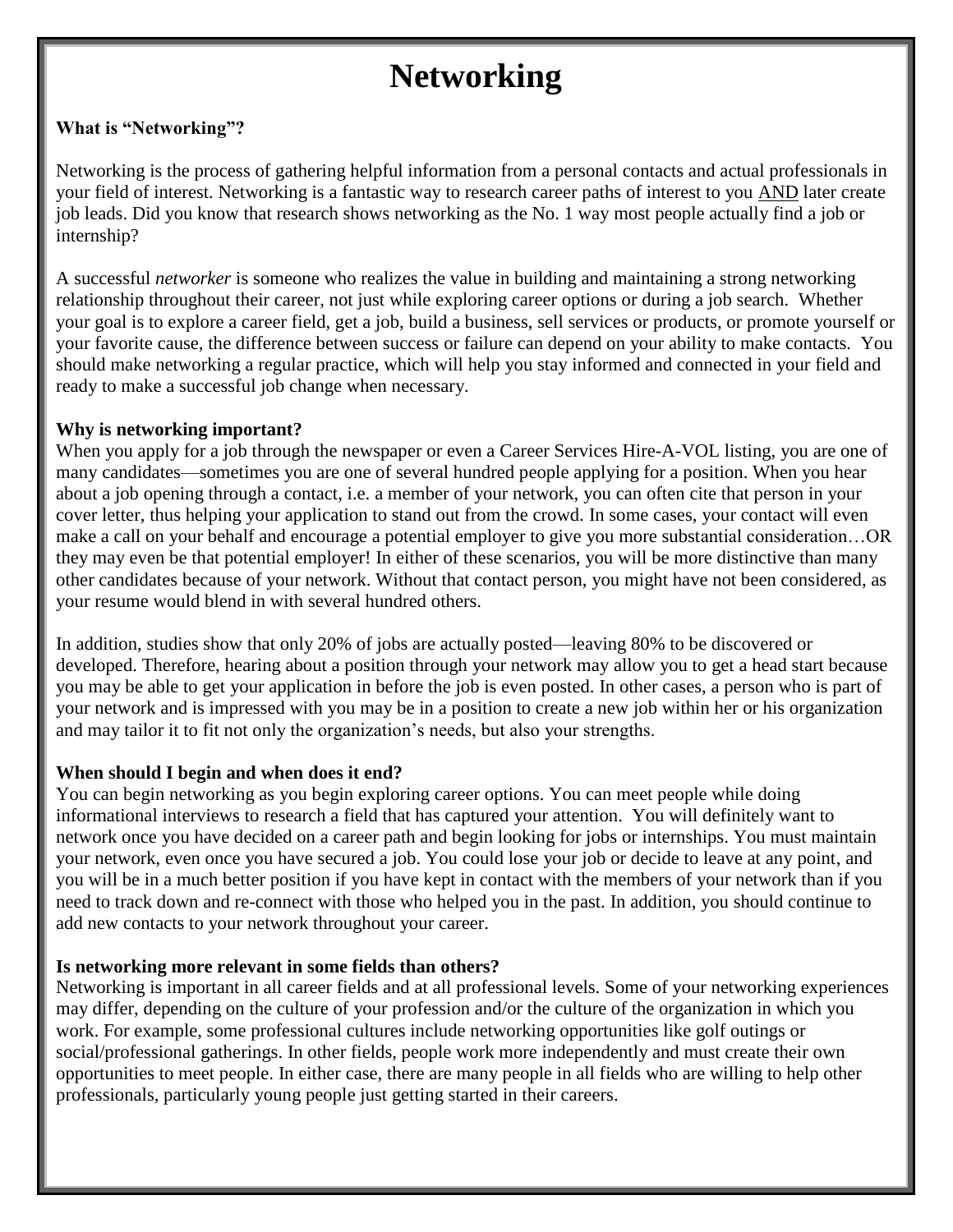# **Networking**

## **What is "Networking"?**

Networking is the process of gathering helpful information from a personal contacts and actual professionals in your field of interest. Networking is a fantastic way to research career paths of interest to you AND later create job leads. Did you know that research shows networking as the No. 1 way most people actually find a job or internship?

A successful *networker* is someone who realizes the value in building and maintaining a strong networking relationship throughout their career, not just while exploring career options or during a job search. Whether your goal is to explore a career field, get a job, build a business, sell services or products, or promote yourself or your favorite cause, the difference between success or failure can depend on your ability to make contacts. You should make networking a regular practice, which will help you stay informed and connected in your field and ready to make a successful job change when necessary.

#### **Why is networking important?**

When you apply for a job through the newspaper or even a Career Services Hire-A-VOL listing, you are one of many candidates—sometimes you are one of several hundred people applying for a position. When you hear about a job opening through a contact, i.e. a member of your network, you can often cite that person in your cover letter, thus helping your application to stand out from the crowd. In some cases, your contact will even make a call on your behalf and encourage a potential employer to give you more substantial consideration…OR they may even be that potential employer! In either of these scenarios, you will be more distinctive than many other candidates because of your network. Without that contact person, you might have not been considered, as your resume would blend in with several hundred others.

In addition, studies show that only 20% of jobs are actually posted—leaving 80% to be discovered or developed. Therefore, hearing about a position through your network may allow you to get a head start because you may be able to get your application in before the job is even posted. In other cases, a person who is part of your network and is impressed with you may be in a position to create a new job within her or his organization and may tailor it to fit not only the organization's needs, but also your strengths.

## **When should I begin and when does it end?**

You can begin networking as you begin exploring career options. You can meet people while doing informational interviews to research a field that has captured your attention. You will definitely want to network once you have decided on a career path and begin looking for jobs or internships. You must maintain your network, even once you have secured a job. You could lose your job or decide to leave at any point, and you will be in a much better position if you have kept in contact with the members of your network than if you need to track down and re-connect with those who helped you in the past. In addition, you should continue to add new contacts to your network throughout your career.

#### **Is networking more relevant in some fields than others?**

Networking is important in all career fields and at all professional levels. Some of your networking experiences may differ, depending on the culture of your profession and/or the culture of the organization in which you work. For example, some professional cultures include networking opportunities like golf outings or social/professional gatherings. In other fields, people work more independently and must create their own opportunities to meet people. In either case, there are many people in all fields who are willing to help other professionals, particularly young people just getting started in their careers.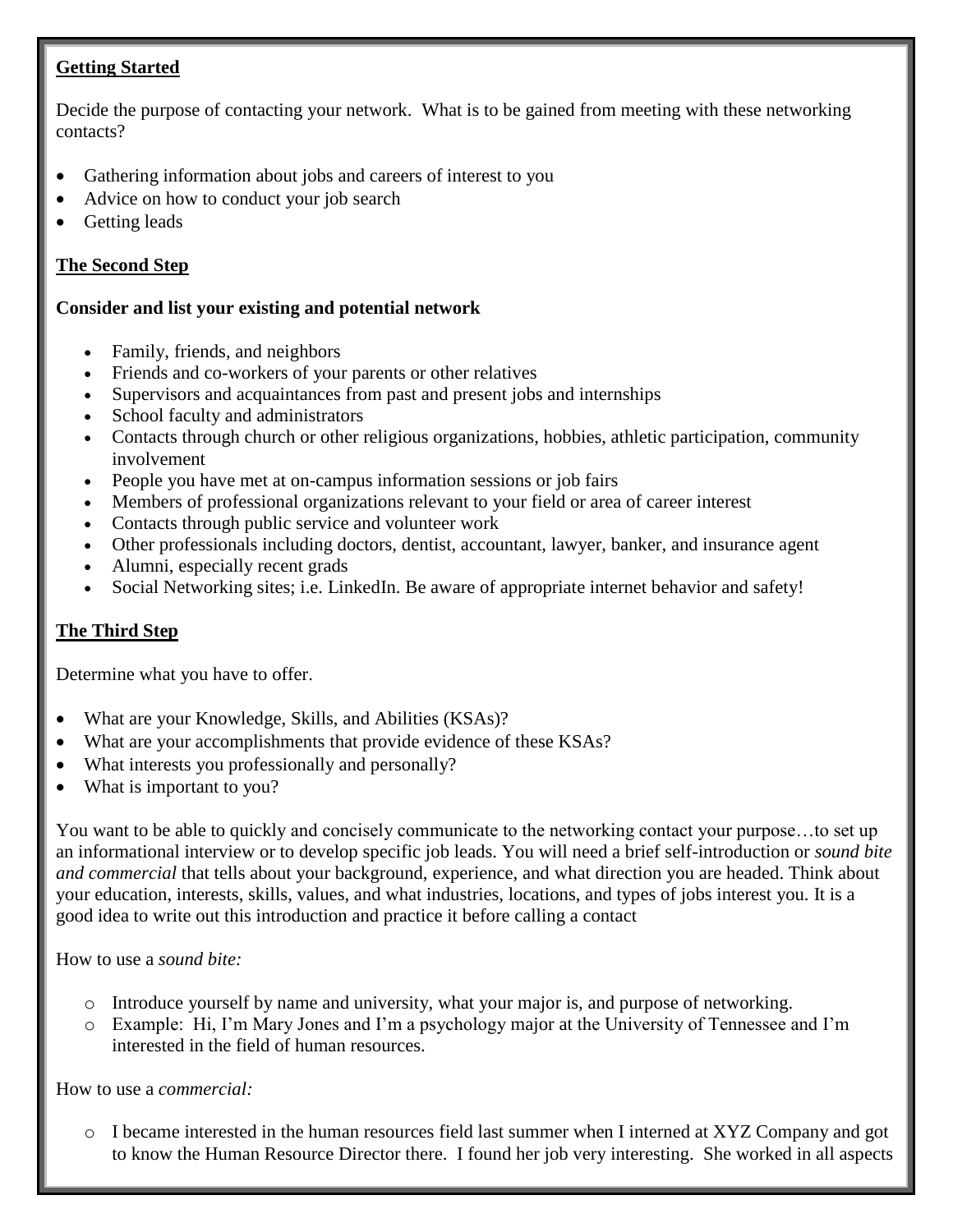## **Getting Started**

Decide the purpose of contacting your network. What is to be gained from meeting with these networking contacts?

- Gathering information about jobs and careers of interest to you
- Advice on how to conduct your job search
- Getting leads

# **The Second Step**

## **Consider and list your existing and potential network**

- Family, friends, and neighbors
- Friends and co-workers of your parents or other relatives
- Supervisors and acquaintances from past and present jobs and internships
- School faculty and administrators
- Contacts through church or other religious organizations, hobbies, athletic participation, community involvement
- People you have met at on-campus information sessions or job fairs
- Members of professional organizations relevant to your field or area of career interest
- Contacts through public service and volunteer work
- Other professionals including doctors, dentist, accountant, lawyer, banker, and insurance agent
- Alumni, especially recent grads
- Social Networking sites; i.e. LinkedIn. Be aware of appropriate internet behavior and safety!

# **The Third Step**

Determine what you have to offer.

- What are your Knowledge, Skills, and Abilities (KSAs)?
- What are your accomplishments that provide evidence of these KSAs?
- What interests you professionally and personally?
- What is important to you?

You want to be able to quickly and concisely communicate to the networking contact your purpose…to set up an informational interview or to develop specific job leads. You will need a brief self-introduction or *sound bite and commercial* that tells about your background, experience, and what direction you are headed. Think about your education, interests, skills, values, and what industries, locations, and types of jobs interest you. It is a good idea to write out this introduction and practice it before calling a contact

## How to use a *sound bite:*

- o Introduce yourself by name and university, what your major is, and purpose of networking.
- o Example: Hi, I'm Mary Jones and I'm a psychology major at the University of Tennessee and I'm interested in the field of human resources.

How to use a *commercial:*

o I became interested in the human resources field last summer when I interned at XYZ Company and got to know the Human Resource Director there. I found her job very interesting. She worked in all aspects